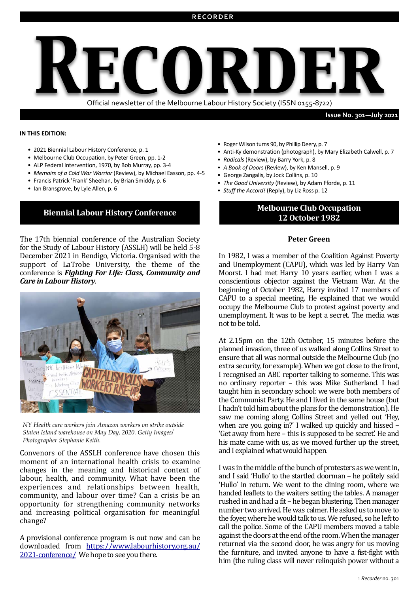

**Issue No. 301-July 2021** 

#### **IN THIS EDITION:**

- 2021 Biennial Labour History Conference, p. 1
- Melbourne Club Occupation, by Peter Green, pp. 1-2
- ALP Federal Intervention, 1970, by Bob Murray, pp. 3-4
- Memoirs of a Cold War Warrior (Review), by Michael Easson, pp. 4-5
- Francis Patrick 'Frank' Sheehan, by Brian Smiddy, p. 6
- Ian Bransgrove, by Lyle Allen, p. 6

The 17th biennial conference of the Australian Society for the Study of Labour History (ASSLH) will be held 5-8 December 2021 in Bendigo, Victoria. Organised with the support of LaTrobe University, the theme of the conference is *Fighting For Life: Class, Community and Care in Labour History.* 



*NY Health care workers join Amazon workers on strike outside Staten Island warehouse on May Day, 2020. Getty Images/ Photographer Stephanie Keith.*

Convenors of the ASSLH conference have chosen this moment of an international health crisis to examine changes in the meaning and historical context of labour, health, and community. What have been the experiences and relationships between health, community, and labour over time? Can a crisis be an opportunity for strengthening community networks and increasing political organisation for meaningful change? 

A provisional conference program is out now and can be downloaded from [https://www.labourhistory.org.au/](https://www.labourhistory.org.au/2021-conference/) 2021-conference/ We hope to see you there.

- Roger Wilson turns 90, by Phillip Deery, p. 7
- Anti-Ky demonstration (photograph), by Mary Elizabeth Calwell, p. 7
- *Radicals* (Review), by Barry York, p. 8
- *A Book of Doors* (Review), by Ken Mansell, p. 9
- George Zangalis, by Jock Collins, p. 10
- *The Good University* (Review), by Adam Fforde, p. 11
- *Stuff the Accord!* (Reply), by Liz Ross p. 12

# **Biennial Labour History Conference Melbourne Club Occupation 12 October 1982**

#### **Peter Green**

In 1982, I was a member of the Coalition Against Poverty and Unemployment (CAPU), which was led by Harry Van Moorst. I had met Harry 10 years earlier, when I was a conscientious objector against the Vietnam War. At the beginning of October 1982, Harry invited 17 members of CAPU to a special meeting. He explained that we would occupy the Melbourne Club to protest against poverty and unemployment. It was to be kept a secret. The media was not to be told.

At 2.15pm on the 12th October, 15 minutes before the planned invasion, three of us walked along Collins Street to ensure that all was normal outside the Melbourne Club (no extra security, for example). When we got close to the front, I recognised an ABC reporter talking to someone. This was no ordinary reporter - this was Mike Sutherland. I had taught him in secondary school: we were both members of the Communist Party. He and I lived in the same house (but) I hadn't told him about the plans for the demonstration). He saw me coming along Collins Street and yelled out 'Hey, when are you going in?' I walked up quickly and hissed  $-$ 'Get away from here – this is supposed to be secret'. He and his mate came with us, as we moved further up the street, and I explained what would happen.

I was in the middle of the bunch of protesters as we went in, and I said 'Hullo' to the startled doorman - he politely said 'Hullo' in return. We went to the dining room, where we handed leaflets to the waiters setting the tables. A manager rushed in and had a fit – he began blustering. Then manager number two arrived. He was calmer. He asked us to move to the foyer, where he would talk to us. We refused, so he left to call the police. Some of the CAPU members moved a table against the doors at the end of the room. When the manager returned via the second door, he was angry for us moving the furniture, and invited anyone to have a fist-fight with him (the ruling class will never relinquish power without a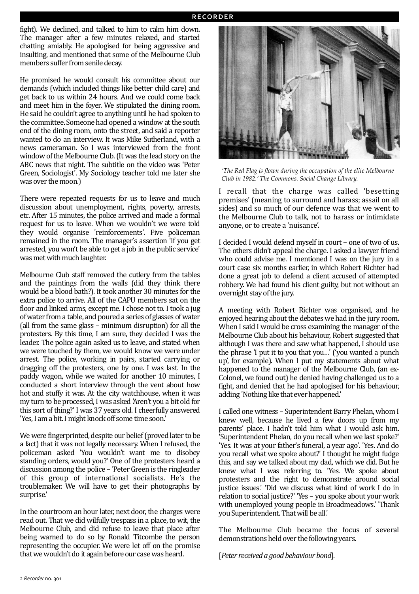fight). We declined, and talked to him to calm him down. The manager after a few minutes relaxed, and started chatting amiably. He apologised for being aggressive and insulting, and mentioned that some of the Melbourne Club members suffer from senile decay.

He promised he would consult his committee about our demands (which included things like better child care) and get back to us within 24 hours. And we could come back and meet him in the foyer. We stipulated the dining room. He said he couldn't agree to anything until he had spoken to the committee. Someone had opened a window at the south end of the dining room, onto the street, and said a reporter wanted to do an interview. It was Mike Sutherland, with a news cameraman. So I was interviewed from the front window of the Melbourne Club. (It was the lead story on the ABC news that night. The subtitle on the video was 'Peter Green, Sociologist<sup>'</sup>. My Sociology teacher told me later she was over the moon.)

There were repeated requests for us to leave and much discussion about unemployment, rights, poverty, arrests, etc. After 15 minutes, the police arrived and made a formal request for us to leave. When we wouldn't we were told they would organise 'reinforcements'. Five policeman remained in the room. The manager's assertion 'if you get arrested, you won't be able to get a job in the public service' was met with much laughter.

Melbourne Club staff removed the cutlery from the tables and the paintings from the walls (did they think there would be a blood bath?). It took another 30 minutes for the extra police to arrive. All of the CAPU members sat on the floor and linked arms, except me. I chose not to. I took a jug of water from a table, and poured a series of glasses of water (all from the same glass – minimum disruption) for all the protesters. By this time, I am sure, they decided I was the leader. The police again asked us to leave, and stated when we were touched by them, we would know we were under arrest. The police, working in pairs, started carrying or dragging off the protesters, one by one. I was last. In the paddy wagon, while we waited for another 10 minutes. I conducted a short interview through the vent about how hot and stuffy it was. At the city watchhouse, when it was my turn to be processed, I was asked 'Aren't you a bit old for this sort of thing?' I was 37 years old. I cheerfully answered 'Yes, I am a bit. I might knock off some time soon.'

We were fingerprinted, despite our belief (proved later to be a fact) that it was not legally necessary. When I refused, the policeman asked 'You wouldn't want me to disobey standing orders, would you?' One of the protesters heard a discussion among the police – 'Peter Green is the ringleader of this group of international socialists. He's the troublemaker. We will have to get their photographs by surprise.'

In the courtroom an hour later, next door, the charges were read out. That we did wilfully trespass in a place, to wit, the Melbourne Club, and did refuse to leave that place after being warned to do so by Ronald Titcombe the person representing the occupier. We were let off on the promise that we wouldn't do it again before our case was heard.



*'The Red Flag is flown during the occupation of the elite Melbourne Club in 1982.' The Commons. Social Change Library.*

I recall that the charge was called 'besetting premises' (meaning to surround and harass; assail on all sides) and so much of our defence was that we went to the Melbourne Club to talk, not to harass or intimidate anyone, or to create a 'nuisance'.

I decided I would defend myself in court - one of two of us. The others didn't appeal the charge. I asked a lawyer friend who could advise me. I mentioned I was on the jury in a court case six months earlier, in which Robert Richter had done a great job to defend a client accused of attempted robbery. We had found his client guilty, but not without an overnight stay of the jury.

A meeting with Robert Richter was organised, and he enjoyed hearing about the debates we had in the jury room. When I said I would be cross examining the manager of the Melbourne Club about his behaviour, Robert suggested that although I was there and saw what happened, I should use the phrase 'I put it to you that you...' ('you wanted a punch up', for example). When I put my statements about what happened to the manager of the Melbourne Club, (an ex-Colonel, we found out) he denied having challenged us to a fight, and denied that he had apologised for his behaviour, adding 'Nothing like that ever happened.'

I called one witness - Superintendent Barry Phelan, whom I knew well, because he lived a few doors up from my parents' place. I hadn't told him what I would ask him. 'Superintendent Phelan, do you recall when we last spoke?' 'Yes. It was at your father's funeral, a year ago'. 'Yes. And do you recall what we spoke about?' I thought he might fudge this, and say we talked about my dad, which we did. But he knew what I was referring to. 'Yes. We spoke about protesters and the right to demonstrate around social justice issues.' 'Did we discuss what kind of work I do in relation to social justice?' 'Yes - you spoke about your work with unemployed young people in Broadmeadows.' 'Thank you Superintendent. That will be all.'

The Melbourne Club became the focus of several demonstrations held over the following years.

[*Peter received a good behaviour bond*].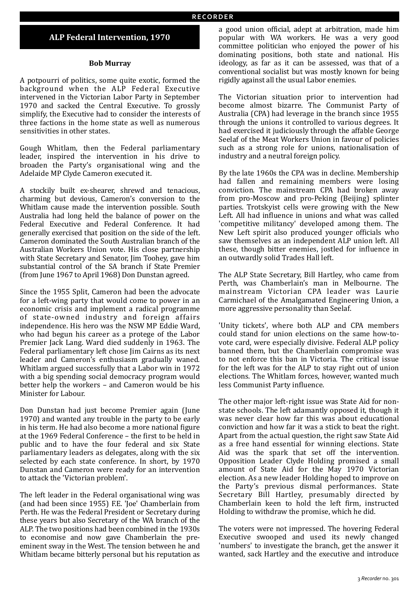## **ALP Federal Intervention, 1970**

#### **Bob Murray**

A potpourri of politics, some quite exotic, formed the background when the ALP Federal Executive intervened in the Victorian Labor Party in September 1970 and sacked the Central Executive. To grossly simplify, the Executive had to consider the interests of three factions in the home state as well as numerous sensitivities in other states.

Gough Whitlam, then the Federal parliamentary leader, inspired the intervention in his drive to broaden the Party's organisational wing and the Adelaide MP Clyde Cameron executed it.

A stockily built ex-shearer, shrewd and tenacious, charming but devious, Cameron's conversion to the Whitlam cause made the intervention possible. South Australia had long held the balance of power on the Federal Executive and Federal Conference. It had generally exercised that position on the side of the left. Cameron dominated the South Australian branch of the Australian Workers Union vote. His close partnership with State Secretary and Senator, Jim Toohey, gave him substantial control of the SA branch if State Premier (from June 1967 to April 1968) Don Dunstan agreed.

Since the 1955 Split, Cameron had been the advocate for a left-wing party that would come to power in an economic crisis and implement a radical programme of state-owned industry and foreign affairs independence. His hero was the NSW MP Eddie Ward, who had begun his career as a protege of the Labor Premier Jack Lang. Ward died suddenly in 1963. The Federal parliamentary left chose Jim Cairns as its next leader and Cameron's enthusiasm gradually waned. Whitlam argued successfully that a Labor win in 1972 with a big spending social democracy program would better help the workers - and Cameron would be his Minister for Labour.

Don Dunstan had just become Premier again (June 1970) and wanted any trouble in the party to be early in his term. He had also become a more national figure at the 1969 Federal Conference - the first to be held in public and to have the four federal and six State parliamentary leaders as delegates, along with the six selected by each state conference. In short, by 1970 Dunstan and Cameron were ready for an intervention to attack the 'Victorian problem'.

The left leader in the Federal organisational wing was (and had been since 1955) F.E. 'Joe' Chamberlain from Perth. He was the Federal President or Secretary during these years but also Secretary of the WA branch of the ALP. The two positions had been combined in the 1930s to economise and now gave Chamberlain the preeminent sway in the West. The tension between he and Whitlam became bitterly personal but his reputation as

a good union official, adept at arbitration, made him popular with WA workers. He was a very good committee politician who enjoyed the power of his dominating positions, both state and national. His ideology, as far as it can be assessed, was that of a conventional socialist but was mostly known for being rigidly against all the usual Labor enemies.

The Victorian situation prior to intervention had become almost bizarre. The Communist Party of Australia (CPA) had leverage in the branch since 1955 through the unions it controlled to various degrees. It had exercised it judiciously through the affable George Seelaf of the Meat Workers Union in favour of policies such as a strong role for unions, nationalisation of industry and a neutral foreign policy.

By the late 1960s the CPA was in decline. Membership had fallen and remaining members were losing conviction. The mainstream CPA had broken away from pro-Moscow and pro-Peking (Beijing) splinter parties. Trotskyist cells were growing with the New Left. All had influence in unions and what was called 'competitive militancy' developed among them. The New Left spirit also produced younger officials who saw themselves as an independent ALP union left. All these, though bitter enemies, jostled for influence in an outwardly solid Trades Hall left.

The ALP State Secretary, Bill Hartley, who came from Perth, was Chamberlain's man in Melbourne. The mainstream Victorian CPA leader was Laurie Carmichael of the Amalgamated Engineering Union, a more aggressive personality than Seelaf.

'Unity tickets', where both ALP and CPA members could stand for union elections on the same how-tovote card, were especially divisive. Federal ALP policy banned them, but the Chamberlain compromise was to not enforce this ban in Victoria. The critical issue for the left was for the ALP to stay right out of union elections. The Whitlam forces, however, wanted much less Communist Party influence.

The other major left-right issue was State Aid for nonstate schools. The left adamantly opposed it, though it was never clear how far this was about educational conviction and how far it was a stick to beat the right. Apart from the actual question, the right saw State Aid as a free hand essential for winning elections. State Aid was the spark that set off the intervention. Opposition Leader Clyde Holding promised a small amount of State Aid for the May 1970 Victorian election. As a new leader Holding hoped to improve on the Party's previous dismal performances. State Secretary Bill Hartley, presumably directed by Chamberlain keen to hold the left firm, instructed Holding to withdraw the promise, which he did.

The voters were not impressed. The hovering Federal Executive swooped and used its newly changed 'numbers' to investigate the branch, get the answer it wanted, sack Hartley and the executive and introduce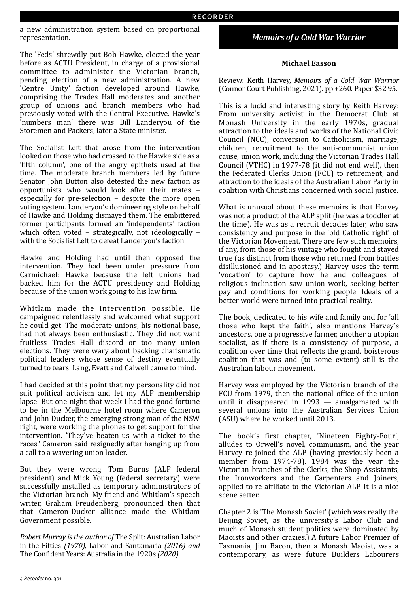a new administration system based on proportional representation. 

The 'Feds' shrewdly put Bob Hawke, elected the year before as ACTU President, in charge of a provisional committee to administer the Victorian branch, pending election of a new administration. A new 'Centre Unity' faction developed around Hawke, comprising the Trades Hall moderates and another group of unions and branch members who had previously voted with the Central Executive. Hawke's 'numbers man' there was Bill Landeryou of the Storemen and Packers, later a State minister.

The Socialist Left that arose from the intervention looked on those who had crossed to the Hawke side as a 'fifth column', one of the angry epithets used at the time. The moderate branch members led by future Senator John Button also detested the new faction as opportunists who would look after their mates especially for pre-selection  $-$  despite the more open voting system. Landeryou's domineering style on behalf of Hawke and Holding dismayed them. The embittered former participants formed an 'independents' faction which often voted - strategically, not ideologically with the Socialist Left to defeat Landeryou's faction.

Hawke and Holding had until then opposed the intervention. They had been under pressure from Carmichael: Hawke because the left unions had backed him for the ACTU presidency and Holding because of the union work going to his law firm.

Whitlam made the intervention possible. He campaigned relentlessly and welcomed what support he could get. The moderate unions, his notional base, had not always been enthusiastic. They did not want fruitless Trades Hall discord or too many union elections. They were wary about backing charismatic political leaders whose sense of destiny eventually turned to tears. Lang, Evatt and Calwell came to mind.

I had decided at this point that my personality did not suit political activism and let my ALP membership lapse. But one night that week I had the good fortune to be in the Melbourne hotel room where Cameron and John Ducker, the emerging strong man of the NSW right, were working the phones to get support for the intervention. 'They've beaten us with a ticket to the races,' Cameron said resignedly after hanging up from a call to a wavering union leader.

But they were wrong. Tom Burns (ALP federal president) and Mick Young (federal secretary) were successfully installed as temporary administrators of the Victorian branch. My friend and Whitlam's speech writer, Graham Freudenberg, pronounced then that that Cameron-Ducker alliance made the Whitlam Government possible.

*Robert Murray is the author of The Split: Australian Labor* in the Fifties (1970), Labor and Santamaria (2016) and The Confident Years: Australia in the 1920s (2020).

# *Memoirs of a Cold War Warrior*

## **Michael Easson**

Review: Keith Harvey, *Memoirs of a Cold War Warrior* (Connor Court Publishing, 2021). pp.+260. Paper \$32.95.

This is a lucid and interesting story by Keith Harvey: From university activist in the Democrat Club at Monash University in the early 1970s, gradual attraction to the ideals and works of the National Civic Council (NCC), conversion to Catholicism, marriage, children, recruitment to the anti-communist union cause, union work, including the Victorian Trades Hall Council (VTHC) in 1977-78 (it did not end well), then the Federated Clerks Union (FCU) to retirement, and attraction to the ideals of the Australian Labor Party in coalition with Christians concerned with social justice.

What is unusual about these memoirs is that Harvey was not a product of the ALP split (he was a toddler at the time). He was as a recruit decades later, who saw consistency and purpose in the 'old Catholic right' of the Victorian Movement. There are few such memoirs, if any, from those of his vintage who fought and stayed true (as distinct from those who returned from battles disillusioned and in apostasy.) Harvey uses the term 'vocation' to capture how he and colleagues of religious inclination saw union work, seeking better pay and conditions for working people. Ideals of a better world were turned into practical reality.

The book, dedicated to his wife and family and for 'all those who kept the faith', also mentions Harvey's ancestors, one a progressive farmer, another a utopian socialist, as if there is a consistency of purpose, a coalition over time that reflects the grand, boisterous coalition that was and (to some extent) still is the Australian labour movement.

Harvey was employed by the Victorian branch of the FCU from 1979, then the national office of the union until it disappeared in  $1993 -$  amalgamated with several unions into the Australian Services Union (ASU) where he worked until 2013.

The book's first chapter, 'Nineteen Eighty-Four', alludes to Orwell's novel, communism, and the year Harvey re-joined the ALP (having previously been a member from 1974-78). 1984 was the year the Victorian branches of the Clerks, the Shop Assistants, the Ironworkers and the Carpenters and Joiners, applied to re-affiliate to the Victorian ALP. It is a nice scene setter.

Chapter 2 is 'The Monash Soviet' (which was really the Beijing Soviet, as the university's Labor Club and much of Monash student politics were dominated by Maoists and other crazies.) A future Labor Premier of Tasmania, Jim Bacon, then a Monash Maoist, was a contemporary, as were future Builders Labourers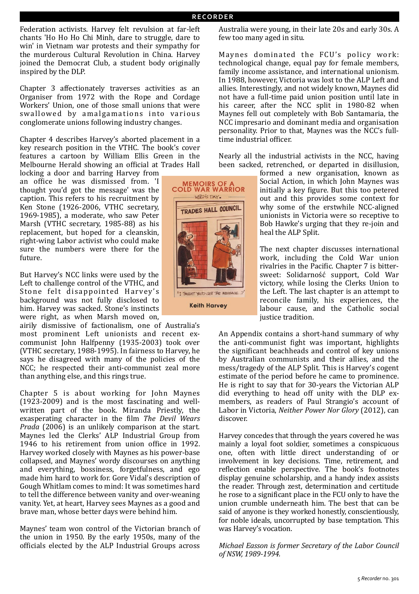Federation activists. Harvey felt revulsion at far-left chants 'Ho Ho Ho Chi Minh, dare to struggle, dare to win' in Vietnam war protests and their sympathy for the murderous Cultural Revolution in China. Harvey joined the Democrat Club, a student body originally inspired by the DLP.

Chapter 3 affectionately traverses activities as an Organiser from 1972 with the Rope and Cordage Workers' Union, one of those small unions that were swallowed by amalgamations into various conglomerate unions following industry changes.

Chapter 4 describes Harvey's aborted placement in a key research position in the VTHC. The book's cover features a cartoon by William Ellis Green in the Melbourne Herald showing an official at Trades Hall

locking a door and barring Harvey from an office he was dismissed from. 'I thought you'd got the message' was the caption. This refers to his recruitment by Ken Stone (1926-2006, VTHC secretary, 1969-1985), a moderate, who saw Peter Marsh (VTHC secretary, 1985-88) as his replacement, but hoped for a cleanskin, right-wing Labor activist who could make sure the numbers were there for the future. 

But Harvey's NCC links were used by the Left to challenge control of the VTHC, and Stone felt disappointed Harvey's background was not fully disclosed to him. Harvey was sacked. Stone's instincts were right, as when Marsh moved on,

airily dismissive of factionalism, one of Australia's most prominent Left unionists and recent excommunist John Halfpenny (1935-2003) took over (VTHC secretary, 1988-1995). In fairness to Harvey, he says he disagreed with many of the policies of the NCC; he respected their anti-communist zeal more than anything else, and this rings true.

Chapter 5 is about working for John Maynes  $(1923-2009)$  and is the most fascinating and wellwritten part of the book. Miranda Priestly, the exasperating character in the film The Devil Wears *Prada* (2006) is an unlikely comparison at the start. Maynes led the Clerks' ALP Industrial Group from 1946 to his retirement from union office in 1992. Harvey worked closely with Maynes as his power-base collapsed, and Maynes' wordy discourses on anything and everything, bossiness, forgetfulness, and ego made him hard to work for. Gore Vidal's description of Gough Whitlam comes to mind: It was sometimes hard to tell the difference between vanity and over-weaning vanity. Yet, at heart, Harvey sees Maynes as a good and brave man, whose better days were behind him.

Maynes' team won control of the Victorian branch of the union in 1950. By the early 1950s, many of the officials elected by the ALP Industrial Groups across Australia were young, in their late 20s and early 30s. A few too many aged in situ.

Maynes dominated the FCU's policy work: technological change, equal pay for female members, family income assistance, and international unionism. In 1988, however, Victoria was lost to the ALP Left and allies. Interestingly, and not widely known, Maynes did not have a full-time paid union position until late in his career, after the NCC split in 1980-82 when Maynes fell out completely with Bob Santamaria, the NCC impresario and dominant media and organisation personality. Prior to that, Maynes was the NCC's fulltime industrial officer.

Nearly all the industrial activists in the NCC, having been sacked, retrenched, or departed in disillusion,

> formed a new organisation, known as Social Action, in which John Maynes was initially a key figure. But this too petered out and this provides some context for why some of the erstwhile NCC-aligned unionists in Victoria were so receptive to Bob Hawke's urging that they re-join and heal the ALP Split.

> The next chapter discusses international work, including the Cold War union rivalries in the Pacific. Chapter 7 is bittersweet: Solidarność support, Cold War victory, while losing the Clerks Union to the Left. The last chapter is an attempt to reconcile family, his experiences, the labour cause, and the Catholic social justice tradition.

An Appendix contains a short-hand summary of why the anti-communist fight was important, highlights the significant beachheads and control of key unions by Australian communists and their allies, and the mess/tragedy of the ALP Split. This is Harvey's cogent estimate of the period before he came to prominence. He is right to say that for 30-years the Victorian ALP did everything to head off unity with the DLP exmembers, as readers of Paul Strangio's account of Labor in Victoria, *Neither Power Nor Glory* (2012), can discover.

Harvey concedes that through the years covered he was mainly a loyal foot soldier, sometimes a conspicuous one, often with little direct understanding of or involvement in key decisions. Time, retirement, and reflection enable perspective. The book's footnotes display genuine scholarship, and a handy index assists the reader. Through zest, determination and certitude he rose to a significant place in the FCU only to have the union crumble underneath him. The best that can be said of anyone is they worked honestly, conscientiously, for noble ideals, uncorrupted by base temptation. This was Harvey's vocation.

*Michael Easson is former Secretary of the Labor Council of NSW, 1989-1994.*



**Keith Harvey**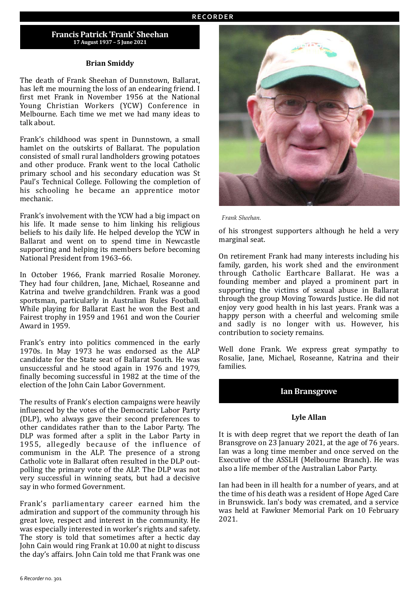## **Francis Patrick 'Frank' Sheehan 17 August 1937 – 5 June 2021**

#### **Brian Smiddy**

The death of Frank Sheehan of Dunnstown, Ballarat, has left me mourning the loss of an endearing friend. I first met Frank in November 1956 at the National Young Christian Workers (YCW) Conference in Melbourne. Each time we met we had many ideas to talk about.

Frank's childhood was spent in Dunnstown, a small hamlet on the outskirts of Ballarat. The population consisted of small rural landholders growing potatoes and other produce. Frank went to the local Catholic primary school and his secondary education was St Paul's Technical College. Following the completion of his schooling he became an apprentice motor mechanic.

Frank's involvement with the YCW had a big impact on his life. It made sense to him linking his religious beliefs to his daily life. He helped develop the YCW in Ballarat and went on to spend time in Newcastle supporting and helping its members before becoming National President from 1963-66.

In October 1966, Frank married Rosalie Moroney. They had four children, Jane, Michael, Roseanne and Katrina and twelve grandchildren. Frank was a good sportsman, particularly in Australian Rules Football. While playing for Ballarat East he won the Best and Fairest trophy in 1959 and 1961 and won the Courier Award in 1959.

Frank's entry into politics commenced in the early 1970s. In May 1973 he was endorsed as the ALP candidate for the State seat of Ballarat South. He was unsuccessful and he stood again in 1976 and 1979. finally becoming successful in 1982 at the time of the election of the John Cain Labor Government.

The results of Frank's election campaigns were heavily influenced by the votes of the Democratic Labor Party (DLP), who always gave their second preferences to other candidates rather than to the Labor Party. The DLP was formed after a split in the Labor Party in 1955, allegedly because of the influence of communism in the ALP. The presence of a strong Catholic vote in Ballarat often resulted in the DLP outpolling the primary vote of the ALP. The DLP was not very successful in winning seats, but had a decisive say in who formed Government.

Frank's parliamentary career earned him the admiration and support of the community through his great love, respect and interest in the community. He was especially interested in worker's rights and safety. The story is told that sometimes after a hectic day John Cain would ring Frank at 10.00 at night to discuss the day's affairs. John Cain told me that Frank was one



*Frank Sheehan.*

of his strongest supporters although he held a very marginal seat.

On retirement Frank had many interests including his family, garden, his work shed and the environment through Catholic Earthcare Ballarat. He was a founding member and played a prominent part in supporting the victims of sexual abuse in Ballarat through the group Moving Towards Justice. He did not enjoy very good health in his last years. Frank was a happy person with a cheerful and welcoming smile and sadly is no longer with us. However, his contribution to society remains.

Well done Frank. We express great sympathy to Rosalie, Jane, Michael, Roseanne, Katrina and their families.

# **Ian Bransgrove**

## **Lyle Allan**

It is with deep regret that we report the death of Ian Bransgrove on 23 January 2021, at the age of 76 years. Ian was a long time member and once served on the Executive of the ASSLH (Melbourne Branch). He was also a life member of the Australian Labor Party.

Ian had been in ill health for a number of years, and at the time of his death was a resident of Hope Aged Care in Brunswick. Ian's body was cremated, and a service was held at Fawkner Memorial Park on 10 February 2021.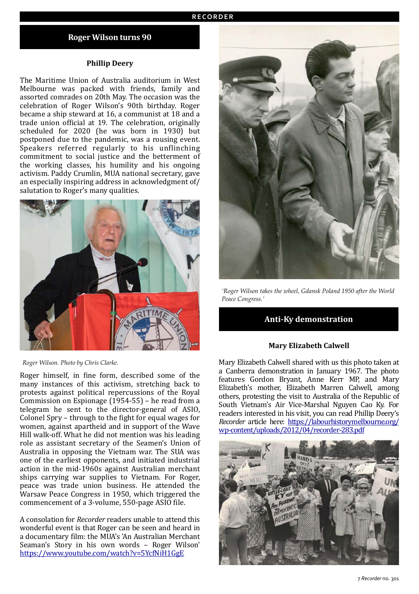## **Roger Wilson turns 90**

#### **Phillip Deery**

The Maritime Union of Australia auditorium in West Melbourne was packed with friends, family and assorted comrades on 20th May. The occasion was the celebration of Roger Wilson's 90th birthday. Roger became a ship steward at 16, a communist at 18 and a trade union official at 19. The celebration, originally scheduled for 2020 (he was born in 1930) but postponed due to the pandemic, was a rousing event. Speakers referred regularly to his unflinching commitment to social justice and the betterment of the working classes, his humility and his ongoing activism. Paddy Crumlin, MUA national secretary, gave an especially inspiring address in acknowledgment of/ salutation to Roger's many qualities.



*Roger Wilson. Photo by Chris Clarke.*

Roger himself, in fine form, described some of the many instances of this activism, stretching back to protests against political repercussions of the Royal Commission on Espionage  $(1954-55)$  – he read from a telegram he sent to the director-general of ASIO, Colonel Spry - through to the fight for equal wages for women, against apartheid and in support of the Wave Hill walk-off. What he did not mention was his leading role as assistant secretary of the Seamen's Union of Australia in opposing the Vietnam war. The SUA was one of the earliest opponents, and initiated industrial action in the mid-1960s against Australian merchant ships carrying war supplies to Vietnam. For Roger, peace was trade union business. He attended the Warsaw Peace Congress in 1950, which triggered the commencement of a 3-volume, 550-page ASIO file.

A consolation for *Recorder* readers unable to attend this wonderful event is that Roger can be seen and heard in a documentary film: the MUA's 'An Australian Merchant Seaman's Story in his own words - Roger Wilson' <https://www.youtube.com/watch?v=5YcfNiH1GgE>



*'Roger Wilson takes the wheel, Gdansk Poland 1950 after the World Peace Congress.'*

## **Anti-Ky demonstration**

### **Mary Elizabeth Calwell**

Mary Elizabeth Calwell shared with us this photo taken at a Canberra demonstration in January 1967. The photo features Gordon Bryant, Anne Kerr MP, and Mary Elizabeth's mother, Elizabeth Marren Calwell, among others, protesting the visit to Australia of the Republic of South Vietnam's Air Vice-Marshal Nguyen Cao Ky. For readers interested in his visit, you can read Phillip Deery's *Recorder* article here: [https://labourhistorymelbourne.org/](https://labourhistorymelbourne.org/wp-content/uploads/2012/04/recorder-283.pdf) [wp-content/uploads/2012/04/recorder-283.pdf](https://labourhistorymelbourne.org/wp-content/uploads/2012/04/recorder-283.pdf) 

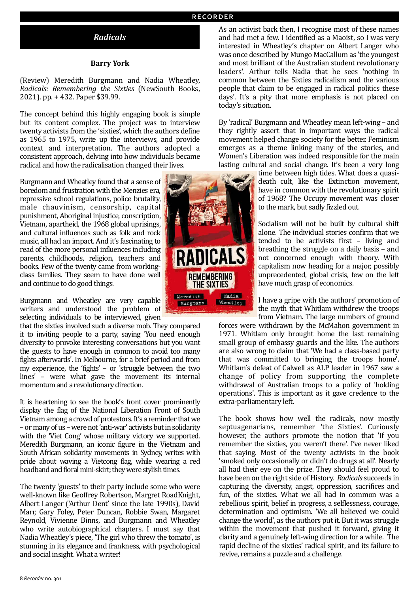## *Radicals*

#### **Barry York**

(Review) Meredith Burgmann and Nadia Wheatley, *Radicals: Remembering the Sixties*  (NewSouth Books, 2021). pp. + 432. Paper \$39.99.

The concept behind this highly engaging book is simple but its content complex. The project was to interview twenty activists from the 'sixties', which the authors define as 1965 to 1975, write up the interviews, and provide context and interpretation. The authors adopted a consistent approach, delving into how individuals became radical and how the radicalisation changed their lives.

Burgmann and Wheatley found that a sense of boredom and frustration with the Menzies era, repressive school regulations, police brutality, male chauvinism, censorship, capital punishment, Aboriginal injustice, conscription, Vietnam, apartheid, the 1968 global uprisings, and cultural influences such as folk and rock music, all had an impact. And it's fascinating to read of the more personal influences including parents, childhoods, religion, teachers and books. Few of the twenty came from workingclass families. They seem to have done well and continue to do good things.

Burgmann and Wheatley are very capable writers and understood the problem of selecting individuals to be interviewed, given

that the sixties involved such a diverse mob. They compared it to inviting people to a party, saying 'You need enough diversity to provoke interesting conversations but you want the guests to have enough in common to avoid too many fights afterwards'. In Melbourne, for a brief period and from my experience, the 'fights' - or 'struggle between the two lines' – were what gave the movement its internal momentum and a revolutionary direction.

It is heartening to see the book's front cover prominently display the flag of the National Liberation Front of South Vietnam among a crowd of protestors. It's a reminder that we – or many of us – were not 'anti-war' activists but in solidarity with the 'Viet Cong' whose military victory we supported. Meredith Burgmann, an iconic figure in the Vietnam and South African solidarity movements in Sydney, writes with pride about waving a Vietcong flag, while wearing a red headband and floral mini-skirt; they were stylish times.

The twenty 'guests' to their party include some who were well-known like Geoffrey Robertson, Margret RoadKnight, Albert Langer ('Arthur Dent' since the late 1990s), David Marr, Gary Foley, Peter Duncan, Robbie Swan, Margaret Reynold, Vivienne Binns, and Burgmann and Wheatley who write autobiographical chapters. I must say that Nadia Wheatley's piece, 'The girl who threw the tomato', is stunning in its elegance and frankness, with psychological and social insight. What a writer!



As an activist back then, I recognise most of these names and had met a few. I identified as a Maoist, so I was very interested in Wheatley's chapter on Albert Langer who was once described by Mungo MacCallum as 'the youngest and most brilliant of the Australian student revolutionary leaders'. Arthur tells Nadia that he sees 'nothing in common between the Sixties radicalism and the various people that claim to be engaged in radical politics these days'. It's a pity that more emphasis is not placed on today's situation.

By 'radical' Burgmann and Wheatley mean left-wing – and they rightly assert that in important ways the radical movement helped change society for the better. Feminism emerges as a theme linking many of the stories, and Women's Liberation was indeed responsible for the main lasting cultural and social change. It's been a very long

> time between high tides. What does a quasideath cult, like the Extinction movement, have in common with the revolutionary spirit of 1968? The Occupy movement was closer to the mark, but sadly fizzled out.

> Socialism will not be built by cultural shift alone. The individual stories confirm that we tended to be activists first  $-$  living and breathing the struggle on a daily basis  $-$  and not concerned enough with theory. With capitalism now heading for a major, possibly unprecedented, global crisis, few on the left have much grasp of economics.

> I have a gripe with the authors' promotion of the myth that Whitlam withdrew the troops from Vietnam. The large numbers of ground

forces were withdrawn by the McMahon government in 1971. Whitlam only brought home the last remaining small group of embassy guards and the like. The authors are also wrong to claim that 'We had a class-based party that was committed to bringing the troops home'. Whitlam's defeat of Calwell as ALP leader in 1967 saw a change of policy from supporting the complete withdrawal of Australian troops to a policy of 'holding operations'. This is important as it gave credence to the extra-parliamentary left.

The book shows how well the radicals, now mostly septuagenarians, remember 'the Sixties'. Curiously however, the authors promote the notion that 'If you remember the sixties, you weren't there'. I've never liked that saying. Most of the twenty activists in the book 'smoked only occasionally or didn't do drugs at all'. Nearly all had their eve on the prize. They should feel proud to have been on the right side of History. Radicals succeeds in capturing the diversity, angst, oppression, sacrifices and fun, of the sixties. What we all had in common was a rebellious spirit, belief in progress, a selflessness, courage, determination and optimism. 'We all believed we could change the world', as the authors put it. But it was struggle within the movement that pushed it forward, giving it clarity and a genuinely left-wing direction for a while. The rapid decline of the sixties' radical spirit, and its failure to revive, remains a puzzle and a challenge.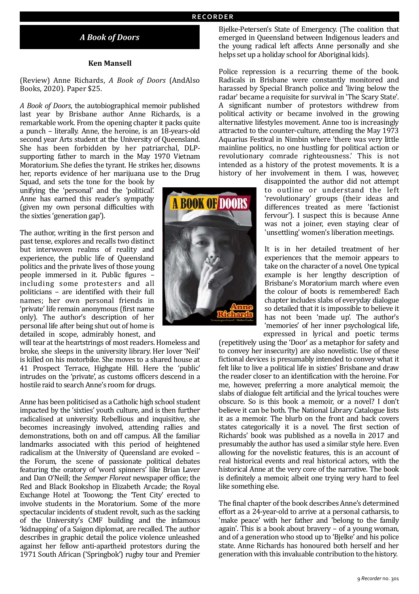# *A Book of Doors*

## **Ken Mansell**

(Review) Anne Richards, *A Book of Doors*  (AndAlso Books, 2020). Paper \$25.

*A* Book of Doors, the autobiographical memoir published last year by Brisbane author Anne Richards, is a remarkable work. From the opening chapter it packs quite a punch – literally. Anne, the heroine, is an 18-years-old second year Arts student at the University of Queensland. She has been forbidden by her patriarchal, DLPsupporting father to march in the May 1970 Vietnam Moratorium. She defies the tyrant. He strikes her, disowns her, reports evidence of her marijuana use to the Drug

Squad, and sets the tone for the book by unifying the 'personal' and the 'political'. Anne has earned this reader's sympathy (given my own personal difficulties with the sixties 'generation gap').

The author, writing in the first person and past tense, explores and recalls two distinct but interwoven realms of reality and experience, the public life of Queensland politics and the private lives of those young people immersed in it. Public figures including some protesters and all politicians - are identified with their full names; her own personal friends in 'private' life remain anonymous (first name only). The author's description of her personal life after being shut out of home is detailed in scope, admirably honest, and

will tear at the heartstrings of most readers. Homeless and broke, she sleeps in the university library. Her lover 'Neil' is killed on his motorbike. She moves to a shared house at 41 Prospect Terrace, Highgate Hill. Here the 'public' intrudes on the 'private', as customs officers descend in a hostile raid to search Anne's room for drugs.

Anne has been politicised as a Catholic high school student impacted by the 'sixties' youth culture, and is then further radicalised at university. Rebellious and inquisitive, she becomes increasingly involved, attending rallies and demonstrations, both on and off campus. All the familiar landmarks associated with this period of heightened radicalism at the University of Queensland are evoked the Forum, the scene of passionate political debates featuring the oratory of 'word spinners' like Brian Laver and Dan O'Neill; the *Semper Floreat* newspaper office; the Red and Black Bookshop in Elizabeth Arcade; the Royal Exchange Hotel at Toowong; the 'Tent City' erected to involve students in the Moratorium. Some of the more spectacular incidents of student revolt, such as the sacking of the University's CMF building and the infamous 'kidnapping' of a Saigon diplomat, are recalled. The author describes in graphic detail the police violence unleashed against her fellow anti-apartheid protestors during the 1971 South African ('Springbok') rugby tour and Premier



Bjelke-Petersen's State of Emergency. (The coalition that emerged in Queensland between Indigenous leaders and the young radical left affects Anne personally and she helps set up a holiday school for Aboriginal kids).

Police repression is a recurring theme of the book. Radicals in Brisbane were constantly monitored and harassed by Special Branch police and 'living below the radar' became a requisite for survival in 'The Scary State'. A significant number of protestors withdrew from political activity or became involved in the growing alternative lifestyles movement. Anne too is increasingly attracted to the counter-culture, attending the May 1973 Aquarius Festival in Nimbin where 'there was very little mainline politics, no one hustling for political action or revolutionary comrade righteousness.' This is not intended as a history of the protest movements. It is a history of her involvement in them. I was, however,

> disappointed the author did not attempt to outline or understand the left 'revolutionary' groups (their ideas and differences treated as mere 'factionist fervour'). I suspect this is because Anne was not a joiner, even staying clear of 'unsettling' women's liberation meetings.

> It is in her detailed treatment of her experiences that the memoir appears to take on the character of a novel. One typical example is her lengthy description of Brisbane's Moratorium march where even the colour of boots is remembered! Each chapter includes slabs of everyday dialogue so detailed that it is impossible to believe it has not been 'made up'. The author's 'memories' of her inner psychological life, expressed in lyrical and poetic terms

(repetitively using the 'Door' as a metaphor for safety and to convey her insecurity) are also novelistic. Use of these fictional devices is presumably intended to convey what it felt like to live a political life in sixties' Brisbane and draw the reader closer to an identification with the heroine. For me, however, preferring a more analytical memoir, the slabs of dialogue felt artificial and the lyrical touches were obscure. So is this book a memoir, or a novel? I don't believe it can be both. The National Library Catalogue lists it as a memoir. The blurb on the front and back covers states categorically it is a novel. The first section of Richards' book was published as a novella in 2017 and presumably the author has used a similar style here. Even allowing for the novelistic features, this is an account of real historical events and real historical actors, with the historical Anne at the very core of the narrative. The book is definitely a memoir, albeit one trying very hard to feel like something else.

The final chapter of the book describes Anne's determined effort as a 24-year-old to arrive at a personal catharsis, to 'make peace' with her father and 'belong to the family again'. This is a book about bravery  $-$  of a voung woman, and of a generation who stood up to 'Bielke' and his police state. Anne Richards has honoured both herself and her generation with this invaluable contribution to the history.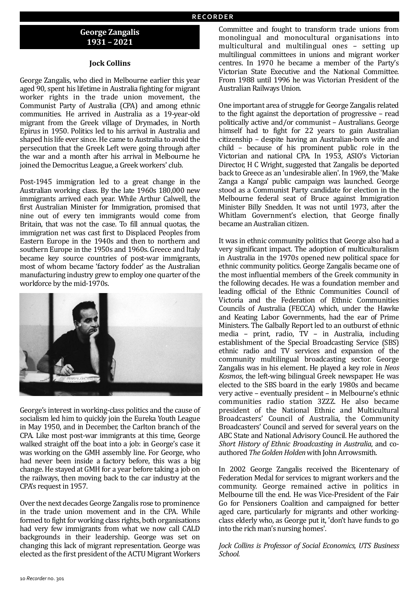# **George Zangalis 1931 – 2021**

## **Jock Collins**

George Zangalis, who died in Melbourne earlier this year aged 90, spent his lifetime in Australia fighting for migrant worker rights in the trade union movement, the Communist Party of Australia (CPA) and among ethnic communities. He arrived in Australia as a 19-year-old migrant from the Greek village of Drymades, in North Epirus in 1950. Politics led to his arrival in Australia and shaped his life ever since. He came to Australia to avoid the persecution that the Greek Left were going through after the war and a month after his arrival in Melbourne he joined the Democritus League, a Greek workers' club.

Post-1945 immigration led to a great change in the Australian working class. By the late 1960s 180,000 new immigrants arrived each year. While Arthur Calwell, the first Australian Minister for Immigration, promised that nine out of every ten immigrants would come from Britain, that was not the case. To fill annual quotas, the immigration net was cast first to Displaced Peoples from Eastern Europe in the 1940s and then to northern and southern Europe in the 1950s and 1960s. Greece and Italy became key source countries of post-war immigrants, most of whom became 'factory fodder' as the Australian manufacturing industry grew to employ one quarter of the workforce by the mid-1970s.



George's interest in working-class politics and the cause of socialism led him to quickly join the Eureka Youth League in May 1950, and in December, the Carlton branch of the CPA. Like most post-war immigrants at this time, George walked straight off the boat into a job: in George's case it was working on the GMH assembly line. For George, who had never been inside a factory before, this was a big change. He stayed at GMH for a year before taking a job on the railways, then moving back to the car industry at the CPA's request in 1957.

Over the next decades George Zangalis rose to prominence in the trade union movement and in the CPA. While formed to fight for working class rights, both organisations had very few immigrants from what we now call CALD backgrounds in their leadership. George was set on changing this lack of migrant representation. George was elected as the first president of the ACTU Migrant Workers

Committee and fought to transform trade unions from monolingual and monocultural organisations into multicultural and multilingual ones - setting up multilingual committees in unions and migrant worker centres. In 1970 he became a member of the Party's Victorian State Executive and the National Committee. From 1988 until 1996 he was Victorian President of the Australian Railways Union.

One important area of struggle for George Zangalis related to the fight against the deportation of progressive  $-$  read politically active and/or communist - Australians. George himself had to fight for 22 years to gain Australian citizenship - despite having an Australian-born wife and child - because of his prominent public role in the Victorian and national CPA. In 1953, ASIO's Victorian Director, H C Wright, suggested that Zangalis be deported back to Greece as an 'undesirable alien'. In 1969, the 'Make Zanga a Kanga' public campaign was launched. George stood as a Communist Party candidate for election in the Melbourne federal seat of Bruce against Immigration Minister Billy Snedden. It was not until 1973, after the Whitlam Government's election, that George finally became an Australian citizen.

It was in ethnic community politics that George also had a very significant impact. The adoption of multiculturalism in Australia in the 1970s opened new political space for ethnic community politics. George Zangalis became one of the most influential members of the Greek community in the following decades. He was a foundation member and leading official of the Ethnic Communities Council of Victoria and the Federation of Ethnic Communities Councils of Australia (FECCA) which, under the Hawke and Keating Labor Governments, had the ear of Prime Ministers. The Galbally Report led to an outburst of ethnic media – print, radio,  $TV$  – in Australia, including establishment of the Special Broadcasting Service (SBS) ethnic radio and TV services and expansion of the community multilingual broadcasting sector. George Zangalis was in his element. He played a key role in *Neos Kosmos*, the left-wing bilingual Greek newspaper. He was elected to the SBS board in the early 1980s and became very active - eventually president - in Melbourne's ethnic communities radio station 3ZZZ. He also became president of the National Ethnic and Multicultural Broadcasters' Council of Australia, the Community Broadcasters' Council and served for several years on the ABC State and National Advisory Council. He authored the *Short History of Ethnic Broadcasting in Australia*, and coauthored *The Golden Holden* with John Arrowsmith.

In 2002 George Zangalis received the Bicentenary of Federation Medal for services to migrant workers and the community. George remained active in politics in Melbourne till the end. He was Vice-President of the Fair Go for Pensioners Coalition and campaigned for better aged care, particularly for migrants and other workingclass elderly who, as George put it, 'don't have funds to go into the rich man's nursing homes'.

*Jock Collins is Professor of Social Economics, UTS Business School.*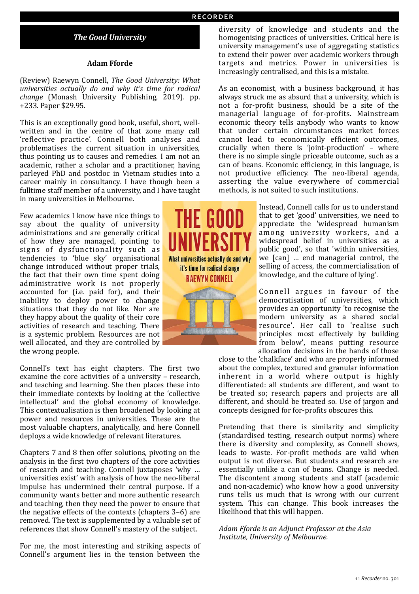# **The Good University**

### **Adam Fforde**

(Review) Raewyn Connell, *The Good University: What universities actually do and why it's time for radical change* (Monash University Publishing, 2019). pp. +233. Paper \$29.95.

This is an exceptionally good book, useful, short, wellwritten and in the centre of that zone many call 'reflective practice'. Connell both analyses and problematises the current situation in universities, thus pointing us to causes and remedies. I am not an academic, rather a scholar and a practitioner, having parleyed PhD and postdoc in Vietnam studies into a career mainly in consultancy. I have though been a fulltime staff member of a university, and I have taught in many universities in Melbourne.

Few academics I know have nice things to say about the quality of university administrations and are generally critical of how they are managed, pointing to signs of dysfunctionality such as tendencies to 'blue sky' organisational change introduced without proper trials, the fact that their own time spent doing administrative work is not properly accounted for (i.e. paid for), and their inability to deploy power to change situations that they do not like. Nor are they happy about the quality of their core activities of research and teaching. There is a systemic problem. Resources are not well allocated, and they are controlled by the wrong people.

Connell's text has eight chapters. The first two examine the core activities of a university - research, and teaching and learning. She then places these into their immediate contexts by looking at the 'collective intellectual' and the global economy of knowledge. This contextualisation is then broadened by looking at power and resources in universities. These are the most valuable chapters, analytically, and here Connell deploys a wide knowledge of relevant literatures.

Chapters 7 and 8 then offer solutions, pivoting on the analysis in the first two chapters of the core activities of research and teaching. Connell juxtaposes 'why ... universities exist' with analysis of how the neo-liberal impulse has undermined their central purpose. If a community wants better and more authentic research and teaching, then they need the power to ensure that the negative effects of the contexts (chapters  $3-6$ ) are removed. The text is supplemented by a valuable set of references that show Connell's mastery of the subject.

For me, the most interesting and striking aspects of Connell's argument lies in the tension between the



diversity of knowledge and students and the homogenising practices of universities. Critical here is university management's use of aggregating statistics to extend their power over academic workers through targets and metrics. Power in universities is increasingly centralised, and this is a mistake.

As an economist, with a business background, it has always struck me as absurd that a university, which is not a for-profit business, should be a site of the managerial language of for-profits. Mainstream economic theory tells anybody who wants to know that under certain circumstances market forces cannot lead to economically efficient outcomes, crucially when there is 'joint-production' - where there is no simple single priceable outcome, such as a can of beans. Economic efficiency, in this language, is not productive efficiency. The neo-liberal agenda, asserting the value everywhere of commercial methods, is not suited to such institutions.

> Instead, Connell calls for us to understand that to get 'good' universities, we need to appreciate the 'widespread humanism among university workers, and a widespread belief in universities as a public good', so that 'within universities, we [can] ... end managerial control, the selling of access, the commercialisation of knowledge, and the culture of lying'.

> Connell argues in favour of the democratisation of universities, which provides an opportunity 'to recognise the modern university as a shared social resource'. Her call to 'realise such principles most effectively by building from below', means putting resource allocation decisions in the hands of those

close to the 'chalkface' and who are properly informed about the complex, textured and granular information inherent in a world where output is highly differentiated: all students are different, and want to be treated so; research papers and projects are all different, and should be treated so. Use of jargon and concepts designed for for-profits obscures this.

Pretending that there is similarity and simplicity (standardised testing, research output norms) where there is diversity and complexity, as Connell shows, leads to waste. For-profit methods are valid when output is not diverse. But students and research are essentially unlike a can of beans. Change is needed. The discontent among students and staff (academic and non-academic) who know how a good university runs tells us much that is wrong with our current system. This can change. This book increases the likelihood that this will happen.

Adam Fforde is an Adjunct Professor at the Asia *Institute, University of Melbourne.*